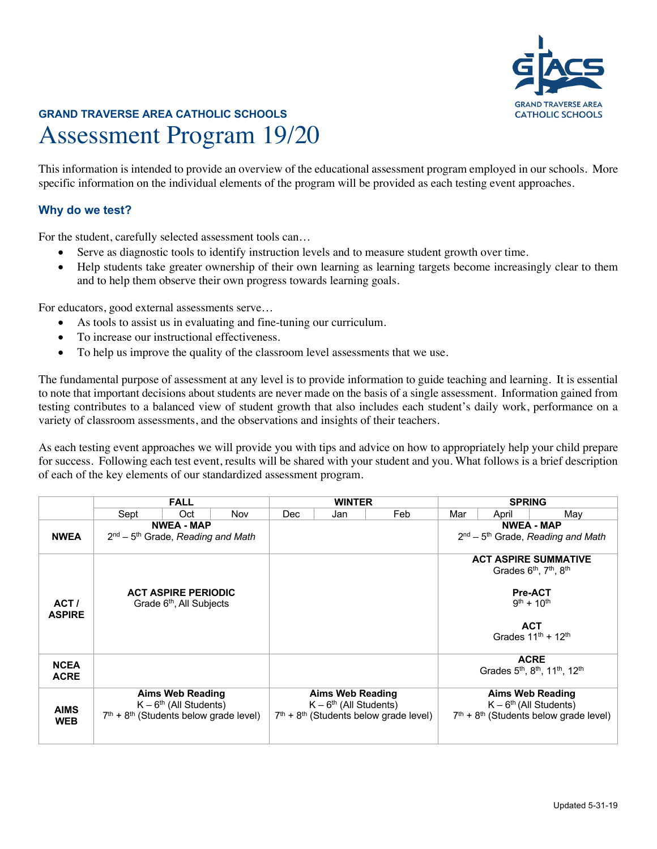

# **GRAND TRAVERSE AREA CATHOLIC SCHOOLS** Assessment Program 19/20

This information is intended to provide an overview of the educational assessment program employed in our schools. More specific information on the individual elements of the program will be provided as each testing event approaches.

### **Why do we test?**

For the student, carefully selected assessment tools can…

- Serve as diagnostic tools to identify instruction levels and to measure student growth over time.
- Help students take greater ownership of their own learning as learning targets become increasingly clear to them and to help them observe their own progress towards learning goals.

For educators, good external assessments serve…

- As tools to assist us in evaluating and fine-tuning our curriculum.
- To increase our instructional effectiveness.
- To help us improve the quality of the classroom level assessments that we use.

The fundamental purpose of assessment at any level is to provide information to guide teaching and learning. It is essential to note that important decisions about students are never made on the basis of a single assessment. Information gained from testing contributes to a balanced view of student growth that also includes each student's daily work, performance on a variety of classroom assessments, and the observations and insights of their teachers.

As each testing event approaches we will provide you with tips and advice on how to appropriately help your child prepare for success. Following each test event, results will be shared with your student and you. What follows is a brief description of each of the key elements of our standardized assessment program.

|                            | <b>FALL</b>                                                                                     |     |     | <b>WINTER</b>                                                                            |     |     | <b>SPRING</b>                                                                                                                                                                   |       |                                                                                               |
|----------------------------|-------------------------------------------------------------------------------------------------|-----|-----|------------------------------------------------------------------------------------------|-----|-----|---------------------------------------------------------------------------------------------------------------------------------------------------------------------------------|-------|-----------------------------------------------------------------------------------------------|
|                            | Sept                                                                                            | Oct | Nov | Dec                                                                                      | Jan | Feb | Mar                                                                                                                                                                             | April | May                                                                                           |
| <b>NWEA</b>                | <b>NWEA - MAP</b><br>$2nd - 5th$ Grade, Reading and Math                                        |     |     |                                                                                          |     |     | <b>NWEA - MAP</b><br>2 <sup>nd</sup> – 5 <sup>th</sup> Grade, Reading and Math                                                                                                  |       |                                                                                               |
| ACT/<br><b>ASPIRE</b>      | <b>ACT ASPIRE PERIODIC</b><br>Grade 6 <sup>th</sup> , All Subjects                              |     |     |                                                                                          |     |     | <b>ACT ASPIRE SUMMATIVE</b><br>Grades 6 <sup>th</sup> , 7 <sup>th</sup> , 8 <sup>th</sup><br><b>Pre-ACT</b><br>$9^{th} + 10^{th}$<br><b>ACT</b><br>Grades $11^{th}$ + $12^{th}$ |       |                                                                                               |
| <b>NCEA</b><br><b>ACRE</b> |                                                                                                 |     |     |                                                                                          |     |     |                                                                                                                                                                                 |       | <b>ACRE</b><br>Grades 5 <sup>th</sup> , 8 <sup>th</sup> , 11 <sup>th</sup> , 12 <sup>th</sup> |
| <b>AIMS</b><br><b>WEB</b>  | <b>Aims Web Reading</b><br>$K - 6th$ (All Students)<br>$7th + 8th$ (Students below grade level) |     |     | Aims Web Reading<br>$K - 6th$ (All Students)<br>$7th + 8th$ (Students below grade level) |     |     | Aims Web Reading<br>$K - 6th$ (All Students)<br>$7th + 8th$ (Students below grade level)                                                                                        |       |                                                                                               |